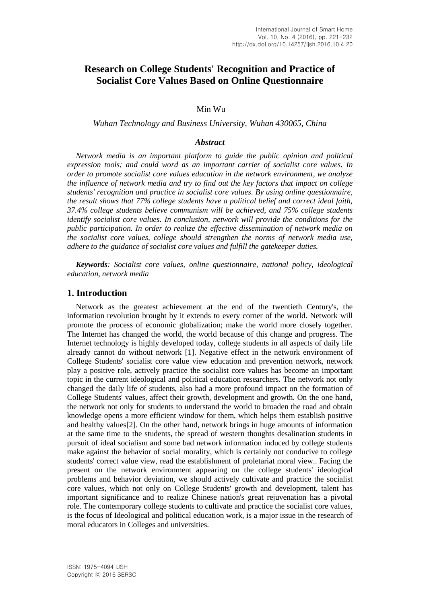# **Research on College Students' Recognition and Practice of Socialist Core Values Based on Online Questionnaire**

Min Wu

*Wuhan Technology and Business University, Wuhan 430065, China* 

#### *Abstract*

*Network media is an important platform to guide the public opinion and political expression tools; and could word as an important carrier of socialist core values. In order to promote socialist core values education in the network environment, we analyze the influence of network media and try to find out the key factors that impact on college students' recognition and practice in socialist core values. By using online questionnaire, the result shows that 77% college students have a political belief and correct ideal faith, 37.4% college students believe communism will be achieved, and 75% college students identify socialist core values. In conclusion, network will provide the conditions for the public participation. In order to realize the effective dissemination of network media on the socialist core values, college should strengthen the norms of network media use, adhere to the guidance of socialist core values and fulfill the gatekeeper duties.*

*Keywords: Socialist core values, online questionnaire, national policy, ideological education, network media*

#### **1. Introduction**

Network as the greatest achievement at the end of the twentieth Century's, the information revolution brought by it extends to every corner of the world. Network will promote the process of economic globalization; make the world more closely together. The Internet has changed the world, the world because of this change and progress. The Internet technology is highly developed today, college students in all aspects of daily life already cannot do without network [1]. Negative effect in the network environment of College Students' socialist core value view education and prevention network, network play a positive role, actively practice the socialist core values has become an important topic in the current ideological and political education researchers. The network not only changed the daily life of students, also had a more profound impact on the formation of College Students' values, affect their growth, development and growth. On the one hand, the network not only for students to understand the world to broaden the road and obtain knowledge opens a more efficient window for them, which helps them establish positive and healthy values[2]. On the other hand, network brings in huge amounts of information at the same time to the students, the spread of western thoughts desalination students in pursuit of ideal socialism and some bad network information induced by college students make against the behavior of social morality, which is certainly not conducive to college students' correct value view, read the establishment of proletariat moral view.. Facing the present on the network environment appearing on the college students' ideological problems and behavior deviation, we should actively cultivate and practice the socialist core values, which not only on College Students' growth and development, talent has important significance and to realize Chinese nation's great rejuvenation has a pivotal role. The contemporary college students to cultivate and practice the socialist core values, is the focus of Ideological and political education work, is a major issue in the research of moral educators in Colleges and universities.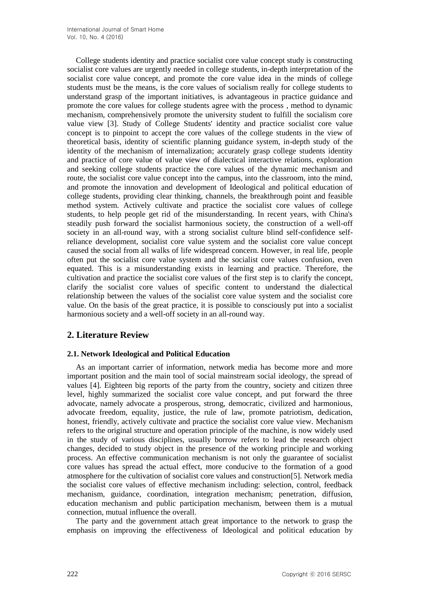College students identity and practice socialist core value concept study is constructing socialist core values are urgently needed in college students, in-depth interpretation of the socialist core value concept, and promote the core value idea in the minds of college students must be the means, is the core values of socialism really for college students to understand grasp of the important initiatives, is advantageous in practice guidance and promote the core values for college students agree with the process , method to dynamic mechanism, comprehensively promote the university student to fulfill the socialism core value view [3]. Study of College Students' identity and practice socialist core value concept is to pinpoint to accept the core values of the college students in the view of theoretical basis, identity of scientific planning guidance system, in-depth study of the identity of the mechanism of internalization; accurately grasp college students identity and practice of core value of value view of dialectical interactive relations, exploration and seeking college students practice the core values of the dynamic mechanism and route, the socialist core value concept into the campus, into the classroom, into the mind, and promote the innovation and development of Ideological and political education of college students, providing clear thinking, channels, the breakthrough point and feasible method system. Actively cultivate and practice the socialist core values of college students, to help people get rid of the misunderstanding. In recent years, with China's steadily push forward the socialist harmonious society, the construction of a well-off society in an all-round way, with a strong socialist culture blind self-confidence selfreliance development, socialist core value system and the socialist core value concept caused the social from all walks of life widespread concern. However, in real life, people often put the socialist core value system and the socialist core values confusion, even equated. This is a misunderstanding exists in learning and practice. Therefore, the cultivation and practice the socialist core values of the first step is to clarify the concept, clarify the socialist core values of specific content to understand the dialectical relationship between the values of the socialist core value system and the socialist core value. On the basis of the great practice, it is possible to consciously put into a socialist harmonious society and a well-off society in an all-round way.

## **2. Literature Review**

### **2.1. Network Ideological and Political Education**

As an important carrier of information, network media has become more and more important position and the main tool of social mainstream social ideology, the spread of values [4]. Eighteen big reports of the party from the country, society and citizen three level, highly summarized the socialist core value concept, and put forward the three advocate, namely advocate a prosperous, strong, democratic, civilized and harmonious, advocate freedom, equality, justice, the rule of law, promote patriotism, dedication, honest, friendly, actively cultivate and practice the socialist core value view. Mechanism refers to the original structure and operation principle of the machine, is now widely used in the study of various disciplines, usually borrow refers to lead the research object changes, decided to study object in the presence of the working principle and working process. An effective communication mechanism is not only the guarantee of socialist core values has spread the actual effect, more conducive to the formation of a good atmosphere for the cultivation of socialist core values and construction[5]. Network media the socialist core values of effective mechanism including: selection, control, feedback mechanism, guidance, coordination, integration mechanism; penetration, diffusion, education mechanism and public participation mechanism, between them is a mutual connection, mutual influence the overall.

The party and the government attach great importance to the network to grasp the emphasis on improving the effectiveness of Ideological and political education by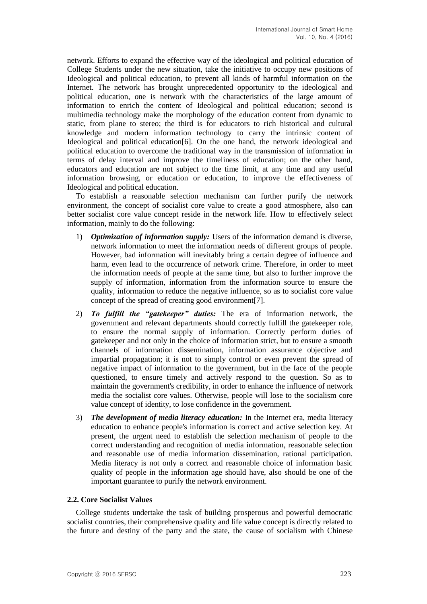network. Efforts to expand the effective way of the ideological and political education of College Students under the new situation, take the initiative to occupy new positions of Ideological and political education, to prevent all kinds of harmful information on the Internet. The network has brought unprecedented opportunity to the ideological and political education, one is network with the characteristics of the large amount of information to enrich the content of Ideological and political education; second is multimedia technology make the morphology of the education content from dynamic to static, from plane to stereo; the third is for educators to rich historical and cultural knowledge and modern information technology to carry the intrinsic content of Ideological and political education[6]. On the one hand, the network ideological and political education to overcome the traditional way in the transmission of information in terms of delay interval and improve the timeliness of education; on the other hand, educators and education are not subject to the time limit, at any time and any useful information browsing, or education or education, to improve the effectiveness of Ideological and political education.

To establish a reasonable selection mechanism can further purify the network environment, the concept of socialist core value to create a good atmosphere, also can better socialist core value concept reside in the network life. How to effectively select information, mainly to do the following:

- 1) *Optimization of information supply:* Users of the information demand is diverse, network information to meet the information needs of different groups of people. However, bad information will inevitably bring a certain degree of influence and harm, even lead to the occurrence of network crime. Therefore, in order to meet the information needs of people at the same time, but also to further improve the supply of information, information from the information source to ensure the quality, information to reduce the negative influence, so as to socialist core value concept of the spread of creating good environment[7].
- 2) *To fulfill the "gatekeeper" duties:* The era of information network, the government and relevant departments should correctly fulfill the gatekeeper role, to ensure the normal supply of information. Correctly perform duties of gatekeeper and not only in the choice of information strict, but to ensure a smooth channels of information dissemination, information assurance objective and impartial propagation; it is not to simply control or even prevent the spread of negative impact of information to the government, but in the face of the people questioned, to ensure timely and actively respond to the question. So as to maintain the government's credibility, in order to enhance the influence of network media the socialist core values. Otherwise, people will lose to the socialism core value concept of identity, to lose confidence in the government.
- 3) *The development of media literacy education:* In the Internet era, media literacy education to enhance people's information is correct and active selection key. At present, the urgent need to establish the selection mechanism of people to the correct understanding and recognition of media information, reasonable selection and reasonable use of media information dissemination, rational participation. Media literacy is not only a correct and reasonable choice of information basic quality of people in the information age should have, also should be one of the important guarantee to purify the network environment.

#### **2.2. Core Socialist Values**

College students undertake the task of building prosperous and powerful democratic socialist countries, their comprehensive quality and life value concept is directly related to the future and destiny of the party and the state, the cause of socialism with Chinese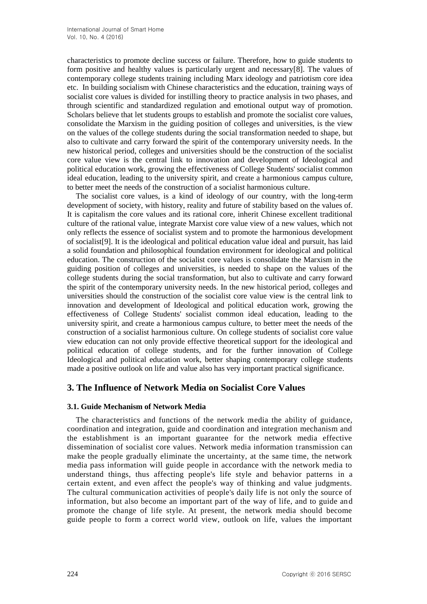characteristics to promote decline success or failure. Therefore, how to guide students to form positive and healthy values is particularly urgent and necessary[8]. The values of contemporary college students training including Marx ideology and patriotism core idea etc. In building socialism with Chinese characteristics and the education, training ways of socialist core values is divided for instilling theory to practice analysis in two phases, and through scientific and standardized regulation and emotional output way of promotion. Scholars believe that let students groups to establish and promote the socialist core values, consolidate the Marxism in the guiding position of colleges and universities, is the view on the values of the college students during the social transformation needed to shape, but also to cultivate and carry forward the spirit of the contemporary university needs. In the new historical period, colleges and universities should be the construction of the socialist core value view is the central link to innovation and development of Ideological and political education work, growing the effectiveness of College Students' socialist common ideal education, leading to the university spirit, and create a harmonious campus culture, to better meet the needs of the construction of a socialist harmonious culture.

The socialist core values, is a kind of ideology of our country, with the long-term development of society, with history, reality and future of stability based on the values of. It is capitalism the core values and its rational core, inherit Chinese excellent traditional culture of the rational value, integrate Marxist core value view of a new values, which not only reflects the essence of socialist system and to promote the harmonious development of socialist[9]. It is the ideological and political education value ideal and pursuit, has laid a solid foundation and philosophical foundation environment for ideological and political education. The construction of the socialist core values is consolidate the Marxism in the guiding position of colleges and universities, is needed to shape on the values of the college students during the social transformation, but also to cultivate and carry forward the spirit of the contemporary university needs. In the new historical period, colleges and universities should the construction of the socialist core value view is the central link to innovation and development of Ideological and political education work, growing the effectiveness of College Students' socialist common ideal education, leading to the university spirit, and create a harmonious campus culture, to better meet the needs of the construction of a socialist harmonious culture. On college students of socialist core value view education can not only provide effective theoretical support for the ideological and political education of college students, and for the further innovation of College Ideological and political education work, better shaping contemporary college students made a positive outlook on life and value also has very important practical significance.

## **3. The Influence of Network Media on Socialist Core Values**

#### **3.1. Guide Mechanism of Network Media**

The characteristics and functions of the network media the ability of guidance, coordination and integration, guide and coordination and integration mechanism and the establishment is an important guarantee for the network media effective dissemination of socialist core values. Network media information transmission can make the people gradually eliminate the uncertainty, at the same time, the network media pass information will guide people in accordance with the network media to understand things, thus affecting people's life style and behavior patterns in a certain extent, and even affect the people's way of thinking and value judgments. The cultural communication activities of people's daily life is not only the source of information, but also become an important part of the way of life, and to guide and promote the change of life style. At present, the network media should become guide people to form a correct world view, outlook on life, values the important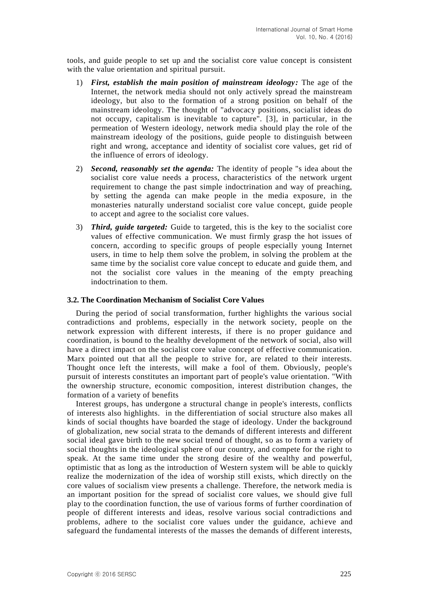tools, and guide people to set up and the socialist core value concept is consistent with the value orientation and spiritual pursuit.

- 1) *First, establish the main position of mainstream ideology:* The age of the Internet, the network media should not only actively spread the mainstream ideology, but also to the formation of a strong position on behalf of the mainstream ideology. The thought of "advocacy positions, socialist ideas do not occupy, capitalism is inevitable to capture". [3], in particular, in the permeation of Western ideology, network media should play the role of the mainstream ideology of the positions, guide people to distinguish between right and wrong, acceptance and identity of socialist core values, get rid of the influence of errors of ideology.
- 2) *Second, reasonably set the agenda:* The identity of people "s idea about the socialist core value needs a process, characteristics of the network urgent requirement to change the past simple indoctrination and way of preaching, by setting the agenda can make people in the media exposure, in the monasteries naturally understand socialist core value concept, guide people to accept and agree to the socialist core values.
- 3) *Third, guide targeted:* Guide to targeted, this is the key to the socialist core values of effective communication. We must firmly grasp the hot issues of concern, according to specific groups of people especially young Internet users, in time to help them solve the problem, in solving the problem at the same time by the socialist core value concept to educate and guide them, and not the socialist core values in the meaning of the empty preaching indoctrination to them.

#### **3.2. The Coordination Mechanism of Socialist Core Values**

During the period of social transformation, further highlights the various social contradictions and problems, especially in the network society, people on the network expression with different interests, if there is no proper guidance and coordination, is bound to the healthy development of the network of social, also will have a direct impact on the socialist core value concept of effective communication. Marx pointed out that all the people to strive for, are related to their interests. Thought once left the interests, will make a fool of them. Obviously, people's pursuit of interests constitutes an important part of people's value orientation. "With the ownership structure, economic composition, interest distribution changes, the formation of a variety of benefits

Interest groups, has undergone a structural change in people's interests, conflicts of interests also highlights. in the differentiation of social structure also makes all kinds of social thoughts have boarded the stage of ideology. Under the background of globalization, new social strata to the demands of different interests and different social ideal gave birth to the new social trend of thought, so as to form a variety of social thoughts in the ideological sphere of our country, and compete for the right to speak. At the same time under the strong desire of the wealthy and powerful, optimistic that as long as the introduction of Western system will be able to quickly realize the modernization of the idea of worship still exists, which directly on the core values of socialism view presents a challenge. Therefore, the network media is an important position for the spread of socialist core values, we should give full play to the coordination function, the use of various forms of further coordination of people of different interests and ideas, resolve various social contradictions and problems, adhere to the socialist core values under the guidance, achieve and safeguard the fundamental interests of the masses the demands of different interests,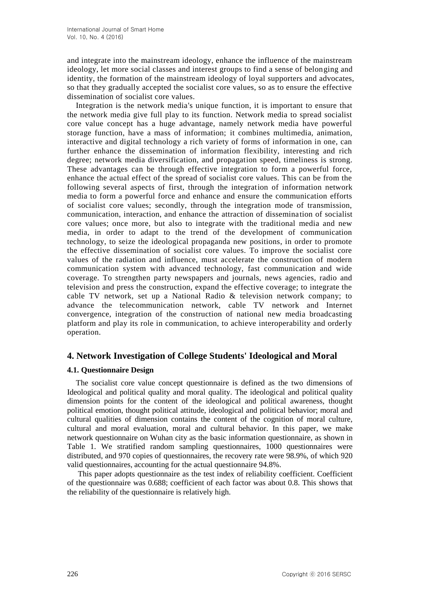and integrate into the mainstream ideology, enhance the influence of the mainstream ideology, let more social classes and interest groups to find a sense of belonging and identity, the formation of the mainstream ideology of loyal supporters and advocates, so that they gradually accepted the socialist core values, so as to ensure the effective dissemination of socialist core values.

Integration is the network media's unique function, it is important to ensure that the network media give full play to its function. Network media to spread socialist core value concept has a huge advantage, namely network media have powerful storage function, have a mass of information; it combines multimedia, animation, interactive and digital technology a rich variety of forms of information in one, can further enhance the dissemination of information flexibility, interesting and rich degree; network media diversification, and propagation speed, timeliness is strong. These advantages can be through effective integration to form a powerful force, enhance the actual effect of the spread of socialist core values. This can be from the following several aspects of first, through the integration of information network media to form a powerful force and enhance and ensure the communication efforts of socialist core values; secondly, through the integration mode of transmission, communication, interaction, and enhance the attraction of dissemination of socialist core values; once more, but also to integrate with the traditional media and new media, in order to adapt to the trend of the development of communication technology, to seize the ideological propaganda new positions, in order to promote the effective dissemination of socialist core values. To improve the socialist core values of the radiation and influence, must accelerate the construction of modern communication system with advanced technology, fast communication and wide coverage. To strengthen party newspapers and journals, news agencies, radio and television and press the construction, expand the effective coverage; to integrate the cable TV network, set up a National Radio & television network company; to advance the telecommunication network, cable TV network and Internet convergence, integration of the construction of national new media broadcasting platform and play its role in communication, to achieve interoperability and orderly operation.

## **4. Network Investigation of College Students' Ideological and Moral**

### **4.1. Questionnaire Design**

The socialist core value concept questionnaire is defined as the two dimensions of Ideological and political quality and moral quality. The ideological and political quality dimension points for the content of the ideological and political awareness, thought political emotion, thought political attitude, ideological and political behavior; moral and cultural qualities of dimension contains the content of the cognition of moral culture, cultural and moral evaluation, moral and cultural behavior. In this paper, we make network questionnaire on Wuhan city as the basic information questionnaire, as shown in Table 1. We stratified random sampling questionnaires, 1000 questionnaires were distributed, and 970 copies of questionnaires, the recovery rate were 98.9%, of which 920 valid questionnaires, accounting for the actual questionnaire 94.8%.

This paper adopts questionnaire as the test index of reliability coefficient. Coefficient of the questionnaire was 0.688; coefficient of each factor was about 0.8. This shows that the reliability of the questionnaire is relatively high.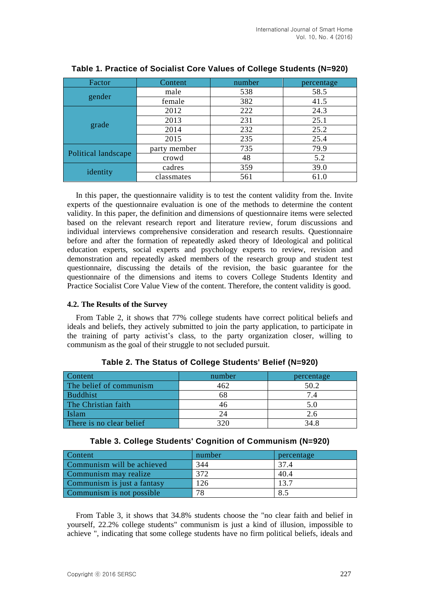| Factor              | Content      | number | percentage |
|---------------------|--------------|--------|------------|
|                     | male         | 538    | 58.5       |
| gender              | female       | 382    | 41.5       |
|                     | 2012         | 222    | 24.3       |
|                     | 2013         | 231    | 25.1       |
| grade               | 2014         | 232    | 25.2       |
|                     | 2015         | 235    | 25.4       |
|                     | party member | 735    | 79.9       |
| Political landscape | crowd        | 48     | 5.2        |
| identity            | cadres       | 359    | 39.0       |
|                     | classmates   | 561    | 61.0       |

### **Table 1. Practice of Socialist Core Values of College Students (N=920)**

In this paper, the questionnaire validity is to test the content validity from the. Invite experts of the questionnaire evaluation is one of the methods to determine the content validity. In this paper, the definition and dimensions of questionnaire items were selected based on the relevant research report and literature review, forum discussions and individual interviews comprehensive consideration and research results. Questionnaire before and after the formation of repeatedly asked theory of Ideological and political education experts, social experts and psychology experts to review, revision and demonstration and repeatedly asked members of the research group and student test questionnaire, discussing the details of the revision, the basic guarantee for the questionnaire of the dimensions and items to covers College Students Identity and Practice Socialist Core Value View of the content. Therefore, the content validity is good.

#### **4.2. The Results of the Survey**

From Table 2, it shows that 77% college students have correct political beliefs and ideals and beliefs, they actively submitted to join the party application, to participate in the training of party activist's class, to the party organization closer, willing to communism as the goal of their struggle to not secluded pursuit.

| Content                  | number | percentage |
|--------------------------|--------|------------|
| The belief of communism  | 462    | 50.2       |
| Buddhist                 | 68     |            |
| The Christian faith      | 46     |            |
| Islam                    | 24     |            |
| There is no clear belief | 320    | 34.8       |

| Table 3. College Students' Cognition of Communism (N=920) |  |  |  |  |  |
|-----------------------------------------------------------|--|--|--|--|--|
|-----------------------------------------------------------|--|--|--|--|--|

| Content                     | number | percentage |
|-----------------------------|--------|------------|
| Communism will be achieved  | 344    | 37.4       |
| Communism may realize       | 372    | 40.4       |
| Communism is just a fantasy | 126    | 13.7       |
| Communism is not possible   | 78     | 8.5        |

From Table 3, it shows that 34.8% students choose the "no clear faith and belief in yourself, 22.2% college students" communism is just a kind of illusion, impossible to achieve ", indicating that some college students have no firm political beliefs, ideals and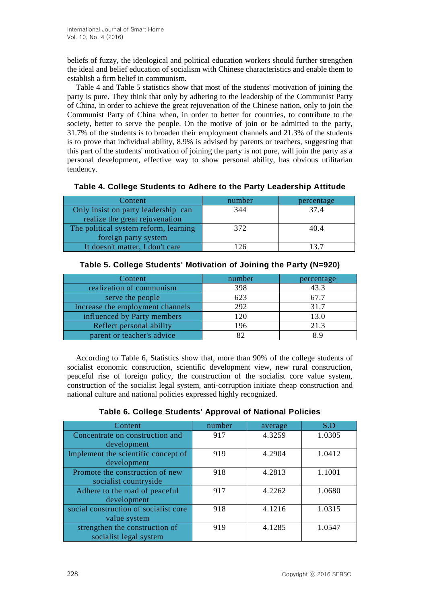beliefs of fuzzy, the ideological and political education workers should further strengthen the ideal and belief education of socialism with Chinese characteristics and enable them to establish a firm belief in communism.

Table 4 and Table 5 statistics show that most of the students' motivation of joining the party is pure. They think that only by adhering to the leadership of the Communist Party of China, in order to achieve the great rejuvenation of the Chinese nation, only to join the Communist Party of China when, in order to better for countries, to contribute to the society, better to serve the people. On the motive of join or be admitted to the party, 31.7% of the students is to broaden their employment channels and 21.3% of the students is to prove that individual ability, 8.9% is advised by parents or teachers, suggesting that this part of the students' motivation of joining the party is not pure, will join the party as a personal development, effective way to show personal ability, has obvious utilitarian tendency.

| Content                               | number | percentage |
|---------------------------------------|--------|------------|
| Only insist on party leadership can   | 344    | 374        |
| realize the great rejuvenation        |        |            |
| The political system reform, learning | 372    | 40.4       |
| foreign party system                  |        |            |
| It doesn't matter, I don't care       | 126    | 13.7       |

**Table 4. College Students to Adhere to the Party Leadership Attitude**

| Content                          | number | percentage |
|----------------------------------|--------|------------|
| realization of communism         | 398    | 43.3       |
| serve the people.                | 623    | 67.7       |
| Increase the employment channels | 292    | 31.7       |
| influenced by Party members      | 120    | 13.0       |
| Reflect personal ability         | 196    | 21.3       |
| parent or teacher's advice       |        | 89         |

**Table 5. College Students' Motivation of Joining the Party (N=920)**

According to Table 6, Statistics show that, more than 90% of the college students of socialist economic construction, scientific development view, new rural construction, peaceful rise of foreign policy, the construction of the socialist core value system, construction of the socialist legal system, anti-corruption initiate cheap construction and national culture and national policies expressed highly recognized.

| Content.                              | number | average | S.D    |
|---------------------------------------|--------|---------|--------|
| Concentrate on construction and       | 917    | 4.3259  | 1.0305 |
| development                           |        |         |        |
| Implement the scientific concept of   | 919    | 4.2904  | 1.0412 |
| development                           |        |         |        |
| Promote the construction of new       | 918    | 4.2813  | 1.1001 |
| socialist countryside                 |        |         |        |
| Adhere to the road of peaceful        | 917    | 4.2262  | 1.0680 |
| development                           |        |         |        |
| social construction of socialist core | 918    | 4.1216  | 1.0315 |
| value system                          |        |         |        |
| strengthen the construction of        | 919    | 4.1285  | 1.0547 |
| socialist legal system                |        |         |        |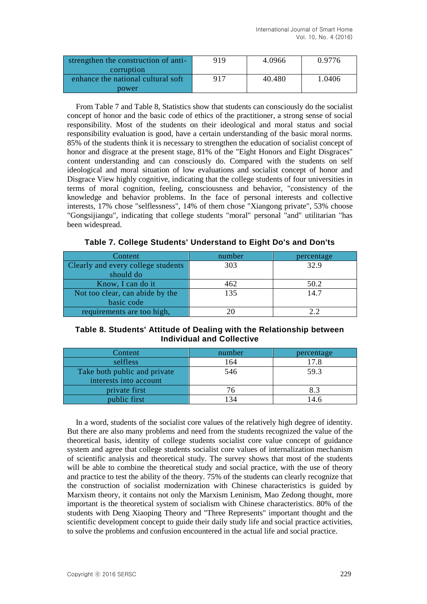| strengthen the construction of anti- | 919 | 4.0966 | 0.9776 |
|--------------------------------------|-----|--------|--------|
| corruption                           |     |        |        |
| enhance the national cultural soft   | 917 | 40.480 | 1.0406 |
| power                                |     |        |        |

From Table 7 and Table 8, Statistics show that students can consciously do the socialist concept of honor and the basic code of ethics of the practitioner, a strong sense of social responsibility. Most of the students on their ideological and moral status and social responsibility evaluation is good, have a certain understanding of the basic moral norms. 85% of the students think it is necessary to strengthen the education of socialist concept of honor and disgrace at the present stage, 81% of the "Eight Honors and Eight Disgraces" content understanding and can consciously do. Compared with the students on self ideological and moral situation of low evaluations and socialist concept of honor and Disgrace View highly cognitive, indicating that the college students of four universities in terms of moral cognition, feeling, consciousness and behavior, "consistency of the knowledge and behavior problems. In the face of personal interests and collective interests, 17% chose "selflessness", 14% of them chose "Xiangong private", 53% choose "Gongsijiangu", indicating that college students "moral" personal "and" utilitarian "has been widespread.

**Table 7. College Students' Understand to Eight Do's and Don'ts**

| Content                            | number | percentage |
|------------------------------------|--------|------------|
| Clearly and every college students | 303    | 32.9       |
| should do                          |        |            |
| Know, I can do it                  | 462    | 50.2       |
| Not too clear, can abide by the    | 135    | 14.7       |
| basic code                         |        |            |
| requirements are too high,         |        |            |

### **Table 8. Students' Attitude of Dealing with the Relationship between Individual and Collective**

| Content                      | number | percentage |
|------------------------------|--------|------------|
| selfless                     | 164    | 17.8       |
| Take both public and private | 546    | 59.3       |
| interests into account       |        |            |
| private first                | 76     | 8.3        |
| public first                 | 34 ا   | 14.6       |

In a word, students of the socialist core values of the relatively high degree of identity. But there are also many problems and need from the students recognized the value of the theoretical basis, identity of college students socialist core value concept of guidance system and agree that college students socialist core values of internalization mechanism of scientific analysis and theoretical study. The survey shows that most of the students will be able to combine the theoretical study and social practice, with the use of theory and practice to test the ability of the theory. 75% of the students can clearly recognize that the construction of socialist modernization with Chinese characteristics is guided by Marxism theory, it contains not only the Marxism Leninism, Mao Zedong thought, more important is the theoretical system of socialism with Chinese characteristics. 80% of the students with Deng Xiaoping Theory and "Three Represents" important thought and the scientific development concept to guide their daily study life and social practice activities, to solve the problems and confusion encountered in the actual life and social practice.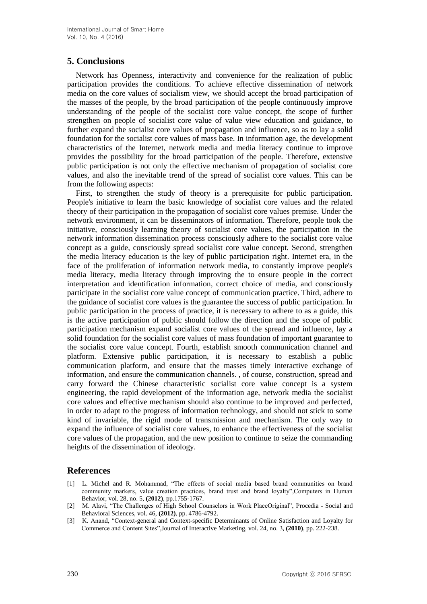### **5. Conclusions**

Network has Openness, interactivity and convenience for the realization of public participation provides the conditions. To achieve effective dissemination of network media on the core values of socialism view, we should accept the broad participation of the masses of the people, by the broad participation of the people continuously improve understanding of the people of the socialist core value concept, the scope of further strengthen on people of socialist core value of value view education and guidance, to further expand the socialist core values of propagation and influence, so as to lay a solid foundation for the socialist core values of mass base. In information age, the development characteristics of the Internet, network media and media literacy continue to improve provides the possibility for the broad participation of the people. Therefore, extensive public participation is not only the effective mechanism of propagation of socialist core values, and also the inevitable trend of the spread of socialist core values. This can be from the following aspects:

First, to strengthen the study of theory is a prerequisite for public participation. People's initiative to learn the basic knowledge of socialist core values and the related theory of their participation in the propagation of socialist core values premise. Under the network environment, it can be disseminators of information. Therefore, people took the initiative, consciously learning theory of socialist core values, the participation in the network information dissemination process consciously adhere to the socialist core value concept as a guide, consciously spread socialist core value concept. Second, strengthen the media literacy education is the key of public participation right. Internet era, in the face of the proliferation of information network media, to constantly improve people's media literacy, media literacy through improving the to ensure people in the correct interpretation and identification information, correct choice of media, and consciously participate in the socialist core value concept of communication practice. Third, adhere to the guidance of socialist core values is the guarantee the success of public participation. In public participation in the process of practice, it is necessary to adhere to as a guide, this is the active participation of public should follow the direction and the scope of public participation mechanism expand socialist core values of the spread and influence, lay a solid foundation for the socialist core values of mass foundation of important guarantee to the socialist core value concept. Fourth, establish smooth communication channel and platform. Extensive public participation, it is necessary to establish a public communication platform, and ensure that the masses timely interactive exchange of information, and ensure the communication channels. , of course, construction, spread and carry forward the Chinese characteristic socialist core value concept is a system engineering, the rapid development of the information age, network media the socialist core values and effective mechanism should also continue to be improved and perfected, in order to adapt to the progress of information technology, and should not stick to some kind of invariable, the rigid mode of transmission and mechanism. The only way to expand the influence of socialist core values, to enhance the effectiveness of the socialist core values of the propagation, and the new position to continue to seize the commanding heights of the dissemination of ideology.

## **References**

- [1] L. Michel and R. Mohammad, "The effects of social media based brand communities on brand community markers, value creation practices, brand trust and brand loyalty",Computers in Human Behavior, vol. 28, no. 5, **(2012)**, pp.1755-1767.
- [2] M. Alavi, "The Challenges of High School Counselors in Work PlaceOriginal", Procedia Social and Behavioral Sciences, vol. 46, **(2012)**, pp. 4786-4792.
- [3] K. Anand, "Context-general and Context-specific Determinants of Online Satisfaction and Loyalty for Commerce and Content Sites",Journal of Interactive Marketing, vol. 24, no. 3, **(2010)**, pp. 222-238.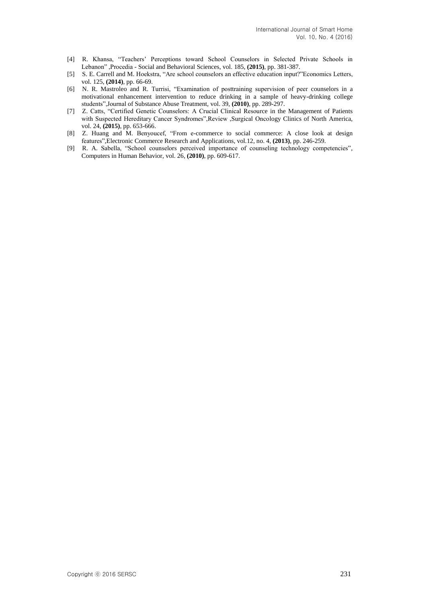- [4] R. Khansa, "Teachers' Perceptions toward School Counselors in Selected Private Schools in Lebanon" ,Procedia - Social and Behavioral Sciences, vol. 185, **(2015)**, pp. 381-387.
- [5] S. E. Carrell and M. Hoekstra, "Are school counselors an effective education input?"Economics Letters, vol. 125, **(2014)**, pp. 66-69.
- [6] N. R. Mastroleo and R. Turrisi, "Examination of posttraining supervision of peer counselors in a motivational enhancement intervention to reduce drinking in a sample of heavy-drinking college students",Journal of Substance Abuse Treatment, vol. 39, **(2010)**, pp. 289-297.
- [7] Z. Catts, "Certified Genetic Counselors: A Crucial Clinical Resource in the Management of Patients with Suspected Hereditary Cancer Syndromes",Review ,Surgical Oncology Clinics of North America, vol. 24, **(2015)**, pp. 653-666.
- [8] Z. Huang and M. Benyoucef, "From e-commerce to social commerce: A close look at design features",Electronic Commerce Research and Applications, vol.12, no. 4, **(2013)**, pp. 246-259.
- [9] R. A. Sabella, "School counselors perceived importance of counseling technology competencies", Computers in Human Behavior, vol. 26, **(2010)**, pp. 609-617.